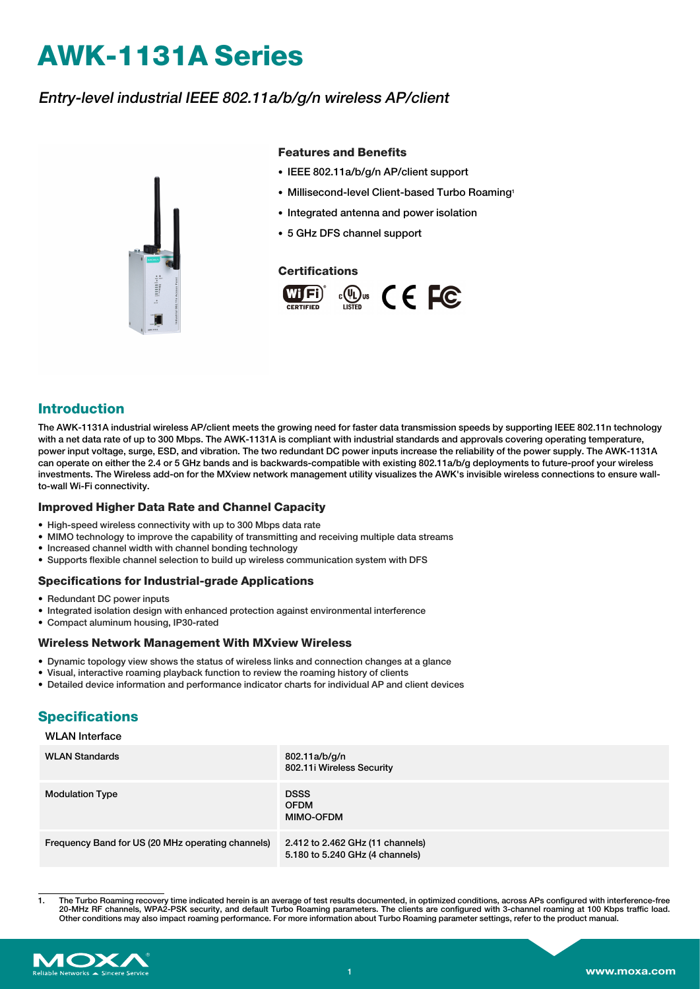# **AWK-1131A Series**

## Entry-level industrial IEEE 802.11a/b/g/n wireless AP/client



#### **Features and Benefits**

- IEEE 802.11a/b/g/n AP/client support
- Millisecond-level Client-based Turbo Roaming1
- Integrated antenna and power isolation
- 5 GHz DFS channel support

#### **Certifications**



### **Introduction**

The AWK-1131A industrial wireless AP/client meets the growing need for faster data transmission speeds by supporting IEEE 802.11n technology with a net data rate of up to 300 Mbps. The AWK-1131A is compliant with industrial standards and approvals covering operating temperature, power input voltage, surge, ESD, and vibration. The two redundant DC power inputs increase the reliability of the power supply. The AWK-1131A can operate on either the 2.4 or 5 GHz bands and is backwards-compatible with existing 802.11a/b/g deployments to future-proof your wireless investments. The Wireless add-on for the MXview network management utility visualizes the AWK's invisible wireless connections to ensure wallto-wall Wi-Fi connectivity.

#### **Improved Higher Data Rate and Channel Capacity**

- High-speed wireless connectivity with up to 300 Mbps data rate
- MIMO technology to improve the capability of transmitting and receiving multiple data streams
- Increased channel width with channel bonding technology
- Supports flexible channel selection to build up wireless communication system with DFS

#### **Specifications for Industrial-grade Applications**

- Redundant DC power inputs
- Integrated isolation design with enhanced protection against environmental interference
- Compact aluminum housing, IP30-rated

#### **Wireless Network Management With MXview Wireless**

- Dynamic topology view shows the status of wireless links and connection changes at a glance
- Visual, interactive roaming playback function to review the roaming history of clients
- Detailed device information and performance indicator charts for individual AP and client devices

# **Specifications**

#### WLAN Interface

| <b>WLAN Standards</b>                             | 802.11a/b/g/n<br>802.11i Wireless Security                          |
|---------------------------------------------------|---------------------------------------------------------------------|
| <b>Modulation Type</b>                            | <b>DSSS</b><br><b>OFDM</b><br><b>MIMO-OFDM</b>                      |
| Frequency Band for US (20 MHz operating channels) | 2.412 to 2.462 GHz (11 channels)<br>5.180 to 5.240 GHz (4 channels) |

<sup>1.</sup> The Turbo Roaming recovery time indicated herein is an average of test results documented, in optimized conditions, across APs configured with interference-free 20-MHz RF channels, WPA2-PSK security, and default Turbo Roaming parameters. The clients are configured with 3-channel roaming at 100 Kbps traffic load. Other conditions may also impact roaming performance. For more information about Turbo Roaming parameter settings, refer to the product manual.

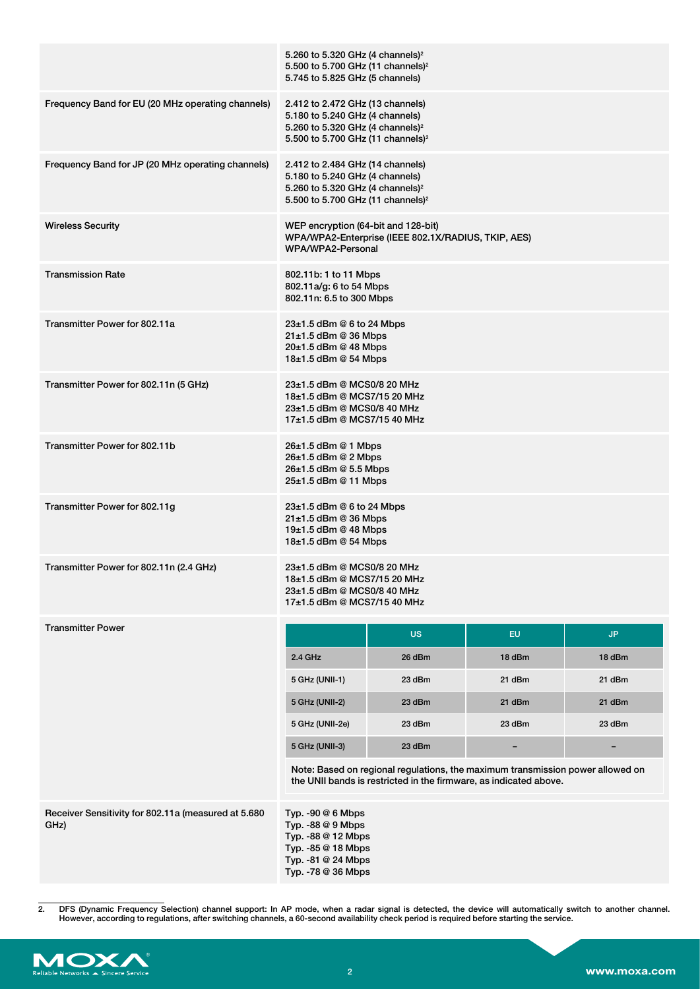|                                                             | 5.260 to 5.320 GHz (4 channels) <sup>2</sup><br>5.500 to 5.700 GHz (11 channels) <sup>2</sup>                                                                        |                                                     |                                                                                                                                                     |        |
|-------------------------------------------------------------|----------------------------------------------------------------------------------------------------------------------------------------------------------------------|-----------------------------------------------------|-----------------------------------------------------------------------------------------------------------------------------------------------------|--------|
|                                                             | 5.745 to 5.825 GHz (5 channels)                                                                                                                                      |                                                     |                                                                                                                                                     |        |
| Frequency Band for EU (20 MHz operating channels)           | 2.412 to 2.472 GHz (13 channels)<br>5.180 to 5.240 GHz (4 channels)<br>5.260 to 5.320 GHz (4 channels) <sup>2</sup><br>5.500 to 5.700 GHz (11 channels) <sup>2</sup> |                                                     |                                                                                                                                                     |        |
| Frequency Band for JP (20 MHz operating channels)           | 2.412 to 2.484 GHz (14 channels)<br>5.180 to 5.240 GHz (4 channels)<br>5.260 to 5.320 GHz (4 channels) <sup>2</sup><br>5.500 to 5.700 GHz (11 channels) <sup>2</sup> |                                                     |                                                                                                                                                     |        |
| <b>Wireless Security</b>                                    | WEP encryption (64-bit and 128-bit)<br>WPA/WPA2-Personal                                                                                                             | WPA/WPA2-Enterprise (IEEE 802.1X/RADIUS, TKIP, AES) |                                                                                                                                                     |        |
| <b>Transmission Rate</b>                                    | 802.11b: 1 to 11 Mbps<br>802.11a/g: 6 to 54 Mbps<br>802.11n: 6.5 to 300 Mbps                                                                                         |                                                     |                                                                                                                                                     |        |
| Transmitter Power for 802.11a                               | $23\pm1.5$ dBm @ 6 to 24 Mbps<br>$21\pm1.5$ dBm @ 36 Mbps<br>$20\pm1.5$ dBm @ 48 Mbps<br>18±1.5 dBm @ 54 Mbps                                                        |                                                     |                                                                                                                                                     |        |
| Transmitter Power for 802.11n (5 GHz)                       | 23±1.5 dBm @ MCS0/8 20 MHz<br>18±1.5 dBm @ MCS7/15 20 MHz<br>23±1.5 dBm @ MCS0/8 40 MHz<br>17±1.5 dBm @ MCS7/15 40 MHz                                               |                                                     |                                                                                                                                                     |        |
| Transmitter Power for 802.11b                               | $26±1.5$ dBm @ 1 Mbps<br>$26±1.5$ dBm @ 2 Mbps<br>26±1.5 dBm @ 5.5 Mbps<br>25±1.5 dBm @ 11 Mbps                                                                      |                                                     |                                                                                                                                                     |        |
| Transmitter Power for 802.11g                               | $23\pm1.5$ dBm @ 6 to 24 Mbps<br>$21 \pm 1.5$ dBm @ 36 Mbps<br>19±1.5 dBm @ 48 Mbps<br>18±1.5 dBm @ 54 Mbps                                                          |                                                     |                                                                                                                                                     |        |
| Transmitter Power for 802.11n (2.4 GHz)                     | 23±1.5 dBm @ MCS0/8 20 MHz<br>18±1.5 dBm @ MCS7/15 20 MHz<br>23±1.5 dBm @ MCS0/8 40 MHz<br>17±1.5 dBm @ MCS7/15 40 MHz                                               |                                                     |                                                                                                                                                     |        |
| <b>Transmitter Power</b>                                    |                                                                                                                                                                      | <b>US</b>                                           | <b>EU</b>                                                                                                                                           | JP.    |
|                                                             | 2.4 GHz                                                                                                                                                              | 26 dBm                                              | 18 dBm                                                                                                                                              | 18 dBm |
|                                                             | 5 GHz (UNII-1)                                                                                                                                                       | 23 dBm                                              | 21 dBm                                                                                                                                              | 21 dBm |
|                                                             | 5 GHz (UNII-2)                                                                                                                                                       | 23 dBm                                              | 21 dBm                                                                                                                                              | 21 dBm |
|                                                             | 5 GHz (UNII-2e)                                                                                                                                                      | 23 dBm                                              | 23 dBm                                                                                                                                              | 23 dBm |
|                                                             | 5 GHz (UNII-3)                                                                                                                                                       | 23 dBm                                              |                                                                                                                                                     |        |
|                                                             |                                                                                                                                                                      |                                                     | Note: Based on regional regulations, the maximum transmission power allowed on<br>the UNII bands is restricted in the firmware, as indicated above. |        |
| Receiver Sensitivity for 802.11a (measured at 5.680<br>GHz) | Typ. $-90@6$ Mbps<br>Typ. $-88@9$ Mbps<br>Typ. -88 @ 12 Mbps<br>Typ. -85 @ 18 Mbps<br>Typ. -81 @ 24 Mbps<br>Typ. -78 @ 36 Mbps                                       |                                                     |                                                                                                                                                     |        |
|                                                             |                                                                                                                                                                      |                                                     |                                                                                                                                                     |        |

<sup>2.</sup> DFS (Dynamic Frequency Selection) channel support: In AP mode, when a radar signal is detected, the device will automatically switch to another channel.<br>However, according to regulations, after switching channels, a 60-

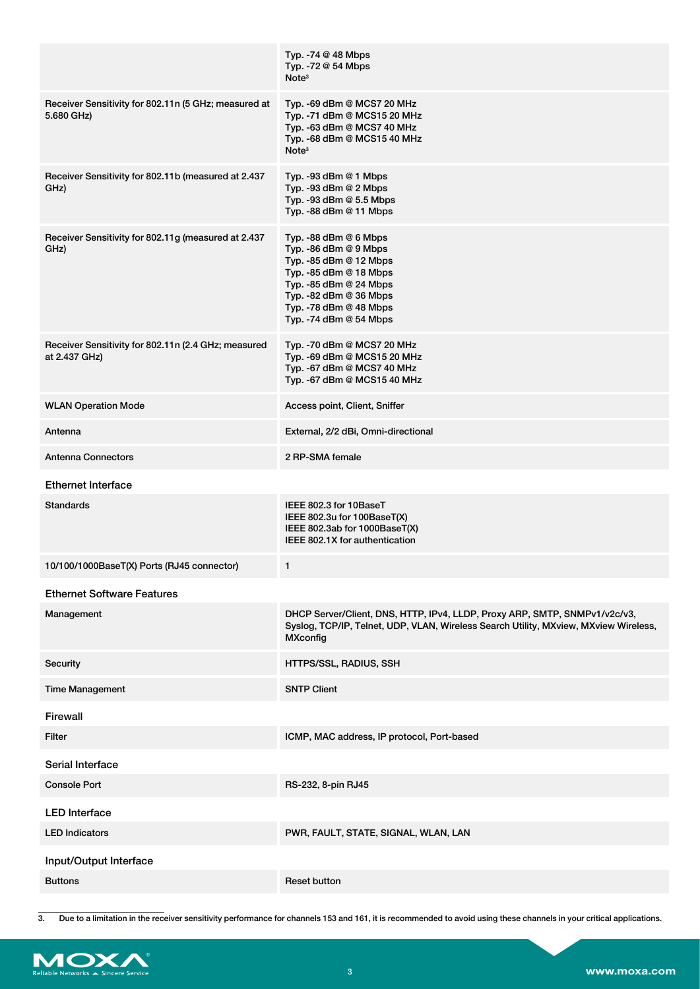|                                                                      | Typ. $-74@48$ Mbps<br>Typ. -72 @ 54 Mbps<br>Note <sup>3</sup>                                                                                                                                               |
|----------------------------------------------------------------------|-------------------------------------------------------------------------------------------------------------------------------------------------------------------------------------------------------------|
| Receiver Sensitivity for 802.11n (5 GHz; measured at<br>5.680 GHz)   | Typ. -69 dBm @ MCS7 20 MHz<br>Typ. -71 dBm @ MCS15 20 MHz<br>Typ. -63 dBm @ MCS7 40 MHz<br>Typ. -68 dBm @ MCS15 40 MHz<br>Note <sup>3</sup>                                                                 |
| Receiver Sensitivity for 802.11b (measured at 2.437<br>GHz)          | Typ. -93 dBm $@$ 1 Mbps<br>Typ. -93 dBm @ 2 Mbps<br>Typ. -93 dBm @ 5.5 Mbps<br>Typ. -88 dBm @ 11 Mbps                                                                                                       |
| Receiver Sensitivity for 802.11g (measured at 2.437<br>GHz)          | Typ. -88 dBm @ 6 Mbps<br>Typ. -86 dBm @ 9 Mbps<br>Typ. -85 dBm @ 12 Mbps<br>Typ. -85 dBm @ 18 Mbps<br>Typ. -85 dBm @ 24 Mbps<br>Typ. -82 dBm @ 36 Mbps<br>Typ. -78 dBm @ 48 Mbps<br>Typ. - 74 dBm @ 54 Mbps |
| Receiver Sensitivity for 802.11n (2.4 GHz; measured<br>at 2.437 GHz) | Typ. -70 dBm @ MCS7 20 MHz<br>Typ. -69 dBm @ MCS15 20 MHz<br>Typ. -67 dBm @ MCS7 40 MHz<br>Typ. -67 dBm @ MCS15 40 MHz                                                                                      |
| <b>WLAN Operation Mode</b>                                           | Access point, Client, Sniffer                                                                                                                                                                               |
| Antenna                                                              | External, 2/2 dBi, Omni-directional                                                                                                                                                                         |
| <b>Antenna Connectors</b>                                            | 2 RP-SMA female                                                                                                                                                                                             |
| <b>Ethernet Interface</b>                                            |                                                                                                                                                                                                             |
| <b>Standards</b>                                                     | IEEE 802.3 for 10BaseT<br>IEEE 802.3u for 100BaseT(X)<br>IEEE 802.3ab for 1000BaseT(X)<br>IEEE 802.1X for authentication                                                                                    |
| 10/100/1000BaseT(X) Ports (RJ45 connector)                           | 1                                                                                                                                                                                                           |
| <b>Ethernet Software Features</b>                                    |                                                                                                                                                                                                             |
| Management                                                           | DHCP Server/Client, DNS, HTTP, IPv4, LLDP, Proxy ARP, SMTP, SNMPv1/v2c/v3,<br>Syslog, TCP/IP, Telnet, UDP, VLAN, Wireless Search Utility, MXview, MXview Wireless,<br><b>MXconfig</b>                       |
| Security                                                             | HTTPS/SSL, RADIUS, SSH                                                                                                                                                                                      |
| <b>Time Management</b>                                               | <b>SNTP Client</b>                                                                                                                                                                                          |
| Firewall                                                             |                                                                                                                                                                                                             |
| Filter                                                               | ICMP, MAC address, IP protocol, Port-based                                                                                                                                                                  |
| Serial Interface                                                     |                                                                                                                                                                                                             |
| <b>Console Port</b>                                                  | RS-232, 8-pin RJ45                                                                                                                                                                                          |
| <b>LED Interface</b>                                                 |                                                                                                                                                                                                             |
| <b>LED Indicators</b>                                                | PWR, FAULT, STATE, SIGNAL, WLAN, LAN                                                                                                                                                                        |
| Input/Output Interface                                               |                                                                                                                                                                                                             |
| <b>Buttons</b>                                                       | <b>Reset button</b>                                                                                                                                                                                         |

<sup>3.</sup> Due to a limitation in the receiver sensitivity performance for channels 153 and 161, it is recommended to avoid using these channels in your critical applications.

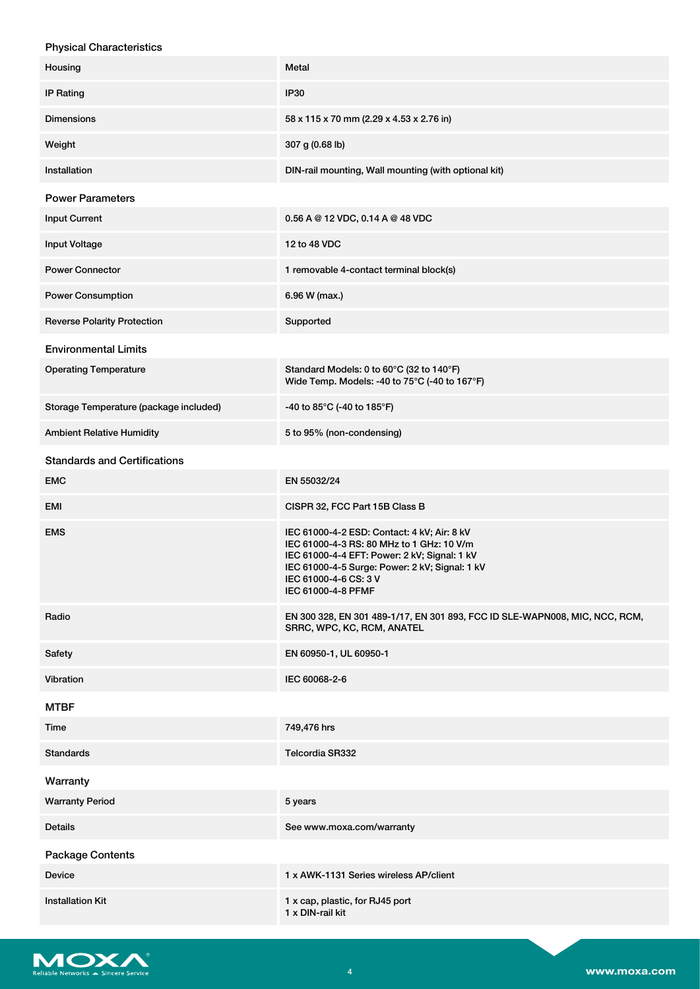| <b>Physical Characteristics</b>        |                                                                                                                                                                                                                                           |
|----------------------------------------|-------------------------------------------------------------------------------------------------------------------------------------------------------------------------------------------------------------------------------------------|
| Housing                                | Metal                                                                                                                                                                                                                                     |
| <b>IP Rating</b>                       | <b>IP30</b>                                                                                                                                                                                                                               |
| <b>Dimensions</b>                      | 58 x 115 x 70 mm (2.29 x 4.53 x 2.76 in)                                                                                                                                                                                                  |
| Weight                                 | 307 g (0.68 lb)                                                                                                                                                                                                                           |
| Installation                           | DIN-rail mounting, Wall mounting (with optional kit)                                                                                                                                                                                      |
| <b>Power Parameters</b>                |                                                                                                                                                                                                                                           |
| <b>Input Current</b>                   | 0.56 A @ 12 VDC, 0.14 A @ 48 VDC                                                                                                                                                                                                          |
| <b>Input Voltage</b>                   | 12 to 48 VDC                                                                                                                                                                                                                              |
| <b>Power Connector</b>                 | 1 removable 4-contact terminal block(s)                                                                                                                                                                                                   |
| <b>Power Consumption</b>               | 6.96 W (max.)                                                                                                                                                                                                                             |
| <b>Reverse Polarity Protection</b>     | Supported                                                                                                                                                                                                                                 |
| <b>Environmental Limits</b>            |                                                                                                                                                                                                                                           |
| <b>Operating Temperature</b>           | Standard Models: 0 to 60°C (32 to 140°F)<br>Wide Temp. Models: -40 to 75°C (-40 to 167°F)                                                                                                                                                 |
| Storage Temperature (package included) | -40 to 85°C (-40 to 185°F)                                                                                                                                                                                                                |
| <b>Ambient Relative Humidity</b>       | 5 to 95% (non-condensing)                                                                                                                                                                                                                 |
| <b>Standards and Certifications</b>    |                                                                                                                                                                                                                                           |
| <b>EMC</b>                             | EN 55032/24                                                                                                                                                                                                                               |
| <b>EMI</b>                             | CISPR 32, FCC Part 15B Class B                                                                                                                                                                                                            |
| <b>EMS</b>                             | IEC 61000-4-2 ESD: Contact: 4 kV; Air: 8 kV<br>IEC 61000-4-3 RS: 80 MHz to 1 GHz: 10 V/m<br>IEC 61000-4-4 EFT: Power: 2 kV; Signal: 1 kV<br>IEC 61000-4-5 Surge: Power: 2 kV; Signal: 1 kV<br>IEC 61000-4-6 CS: 3 V<br>IEC 61000-4-8 PFMF |
| Radio                                  | EN 300 328, EN 301 489-1/17, EN 301 893, FCC ID SLE-WAPN008, MIC, NCC, RCM,<br>SRRC, WPC, KC, RCM, ANATEL                                                                                                                                 |
| Safety                                 | EN 60950-1, UL 60950-1                                                                                                                                                                                                                    |
| Vibration                              | IEC 60068-2-6                                                                                                                                                                                                                             |
| <b>MTBF</b>                            |                                                                                                                                                                                                                                           |
| Time                                   | 749,476 hrs                                                                                                                                                                                                                               |
| <b>Standards</b>                       | <b>Telcordia SR332</b>                                                                                                                                                                                                                    |

| Warranty                |                                                     |
|-------------------------|-----------------------------------------------------|
| <b>Warranty Period</b>  | 5 years                                             |
| <b>Details</b>          | See www.moxa.com/warranty                           |
| <b>Package Contents</b> |                                                     |
| <b>Device</b>           | 1 x AWK-1131 Series wireless AP/client              |
| <b>Installation Kit</b> | 1 x cap, plastic, for RJ45 port<br>1 x DIN-rail kit |

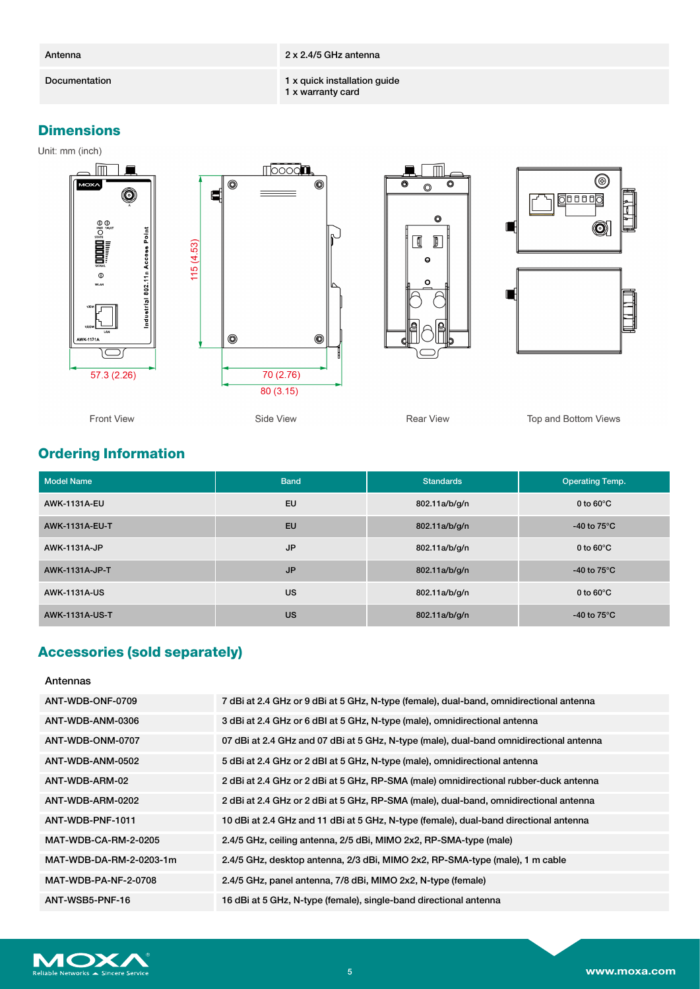Antenna 2 x 2.4/5 GHz antenna

Documentation 1 x quick installation guide

1 x warranty card

# **Dimensions**

Unit: mm (inch)









Rear View

Top and Bottom Views

# **Ordering Information**

| <b>Model Name</b>     | <b>Band</b> | <b>Standards</b> | <b>Operating Temp.</b>         |
|-----------------------|-------------|------------------|--------------------------------|
| <b>AWK-1131A-EU</b>   | EU          | 802.11a/b/g/n    | 0 to $60^{\circ}$ C            |
| <b>AWK-1131A-EU-T</b> | <b>EU</b>   | 802.11a/b/g/n    | -40 to 75 $\mathrm{^{\circ}C}$ |
| <b>AWK-1131A-JP</b>   | <b>JP</b>   | 802.11a/b/g/n    | 0 to $60^{\circ}$ C            |
| AWK-1131A-JP-T        | <b>JP</b>   | 802.11a/b/g/n    | -40 to 75 $\mathrm{^{\circ}C}$ |
| <b>AWK-1131A-US</b>   | <b>US</b>   | 802.11a/b/g/n    | 0 to $60^{\circ}$ C            |
| <b>AWK-1131A-US-T</b> | <b>US</b>   | 802.11a/b/g/n    | -40 to 75 $\mathrm{^{\circ}C}$ |

# **Accessories (sold separately)**

Antennas

| ANT-WDB-ONF-0709            | 7 dBi at 2.4 GHz or 9 dBi at 5 GHz, N-type (female), dual-band, omnidirectional antenna |
|-----------------------------|-----------------------------------------------------------------------------------------|
| ANT-WDB-ANM-0306            | 3 dBi at 2.4 GHz or 6 dBI at 5 GHz, N-type (male), omnidirectional antenna              |
| ANT-WDB-ONM-0707            | 07 dBi at 2.4 GHz and 07 dBi at 5 GHz, N-type (male), dual-band omnidirectional antenna |
| ANT-WDB-ANM-0502            | 5 dBi at 2.4 GHz or 2 dBI at 5 GHz, N-type (male), omnidirectional antenna              |
| ANT-WDB-ARM-02              | 2 dBi at 2.4 GHz or 2 dBi at 5 GHz, RP-SMA (male) omnidirectional rubber-duck antenna   |
| ANT-WDB-ARM-0202            | 2 dBi at 2.4 GHz or 2 dBi at 5 GHz, RP-SMA (male), dual-band, omnidirectional antenna   |
| ANT-WDB-PNF-1011            | 10 dBi at 2.4 GHz and 11 dBi at 5 GHz, N-type (female), dual-band directional antenna   |
| MAT-WDB-CA-RM-2-0205        | 2.4/5 GHz, ceiling antenna, 2/5 dBi, MIMO 2x2, RP-SMA-type (male)                       |
| MAT-WDB-DA-RM-2-0203-1m     | 2.4/5 GHz, desktop antenna, 2/3 dBi, MIMO 2x2, RP-SMA-type (male), 1 m cable            |
| <b>MAT-WDB-PA-NF-2-0708</b> | 2.4/5 GHz, panel antenna, 7/8 dBi, MIMO 2x2, N-type (female)                            |
| ANT-WSB5-PNF-16             | 16 dBi at 5 GHz, N-type (female), single-band directional antenna                       |